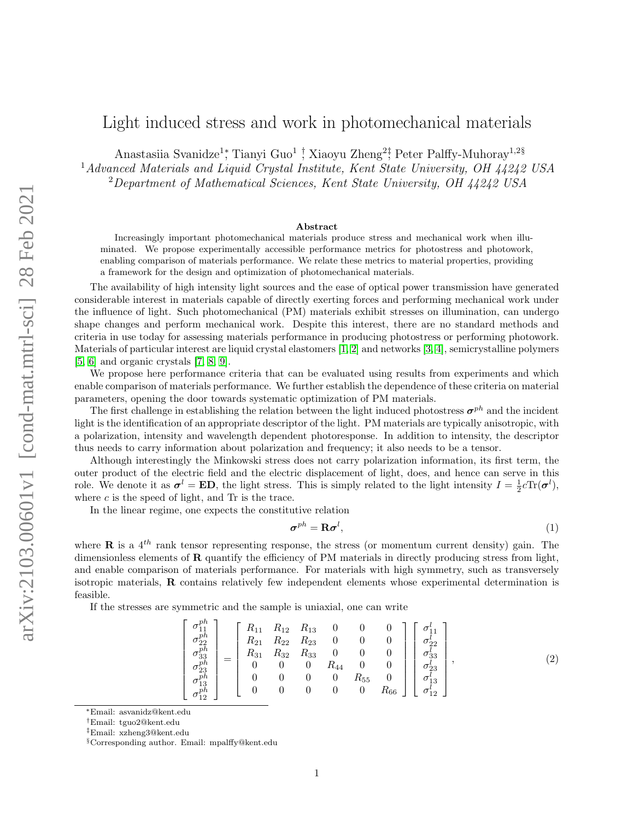## Light induced stress and work in photomechanical materials

Anastasiia Svanidze<sup>1</sup>; Tianyi Guo<sup>1</sup> † Xiaoyu Zheng<sup>2</sup>; Peter Palffy-Muhoray<sup>1,2§</sup> <sup>1</sup>Advanced Materials and Liquid Crystal Institute, Kent State University, OH 44242 USA <sup>2</sup>Department of Mathematical Sciences, Kent State University, OH 44242 USA

## Abstract

Increasingly important photomechanical materials produce stress and mechanical work when illuminated. We propose experimentally accessible performance metrics for photostress and photowork, enabling comparison of materials performance. We relate these metrics to material properties, providing a framework for the design and optimization of photomechanical materials.

The availability of high intensity light sources and the ease of optical power transmission have generated considerable interest in materials capable of directly exerting forces and performing mechanical work under the influence of light. Such photomechanical (PM) materials exhibit stresses on illumination, can undergo shape changes and perform mechanical work. Despite this interest, there are no standard methods and criteria in use today for assessing materials performance in producing photostress or performing photowork. Materials of particular interest are liquid crystal elastomers [\[1,](#page-5-0) [2\]](#page-5-1) and networks [\[3,](#page-5-2) [4\]](#page-5-3), semicrystalline polymers [\[5,](#page-5-4) [6\]](#page-5-5) and organic crystals [\[7,](#page-5-6) [8,](#page-5-7) [9\]](#page-5-8).

We propose here performance criteria that can be evaluated using results from experiments and which enable comparison of materials performance. We further establish the dependence of these criteria on material parameters, opening the door towards systematic optimization of PM materials.

The first challenge in establishing the relation between the light induced photostress  $\sigma^{ph}$  and the incident light is the identification of an appropriate descriptor of the light. PM materials are typically anisotropic, with a polarization, intensity and wavelength dependent photoresponse. In addition to intensity, the descriptor thus needs to carry information about polarization and frequency; it also needs to be a tensor.

Although interestingly the Minkowski stress does not carry polarization information, its first term, the outer product of the electric field and the electric displacement of light, does, and hence can serve in this role. We denote it as  $\sigma^l = \mathbf{ED}$ , the light stress. This is simply related to the light intensity  $I = \frac{1}{2}c\text{Tr}(\sigma^l)$ , where  $c$  is the speed of light, and  $\text{Tr}$  is the trace.

In the linear regime, one expects the constitutive relation

 $\mathbf{p}$ 

<span id="page-0-0"></span>
$$
\boldsymbol{\sigma}^{ph} = \mathbf{R}\boldsymbol{\sigma}^l,\tag{1}
$$

where **R** is a  $4^{th}$  rank tensor representing response, the stress (or momentum current density) gain. The dimensionless elements of  **quantify the efficiency of PM materials in directly producing stress from light,** and enable comparison of materials performance. For materials with high symmetry, such as transversely isotropic materials, R contains relatively few independent elements whose experimental determination is feasible.

If the stresses are symmetric and the sample is uniaxial, one can write

$$
\begin{bmatrix}\n\sigma_{11}^{ph} \\
\sigma_{22}^{ph} \\
\sigma_{33}^{ph} \\
\sigma_{24}^{ph} \\
\sigma_{13}^{ph} \\
\sigma_{12}^{ph}\n\end{bmatrix} = \begin{bmatrix}\nR_{11} & R_{12} & R_{13} & 0 & 0 & 0 \\
R_{21} & R_{22} & R_{23} & 0 & 0 & 0 \\
R_{31} & R_{32} & R_{33} & 0 & 0 & 0 \\
0 & 0 & 0 & R_{44} & 0 & 0 \\
0 & 0 & 0 & 0 & R_{55} & 0 \\
0 & 0 & 0 & 0 & 0 & R_{66}\n\end{bmatrix} \begin{bmatrix}\n\sigma_{11}^{l} \\
\sigma_{22}^{l} \\
\sigma_{33}^{l} \\
\sigma_{13}^{l} \\
\sigma_{12}^{l} \\
\sigma_{12}^{l}\n\end{bmatrix},
$$
\n(2)

<sup>∗</sup>Email: asvanidz@kent.edu

<sup>†</sup>Email: tguo2@kent.edu

<sup>‡</sup>Email: xzheng3@kent.edu

<sup>§</sup>Corresponding author. Email: mpalffy@kent.edu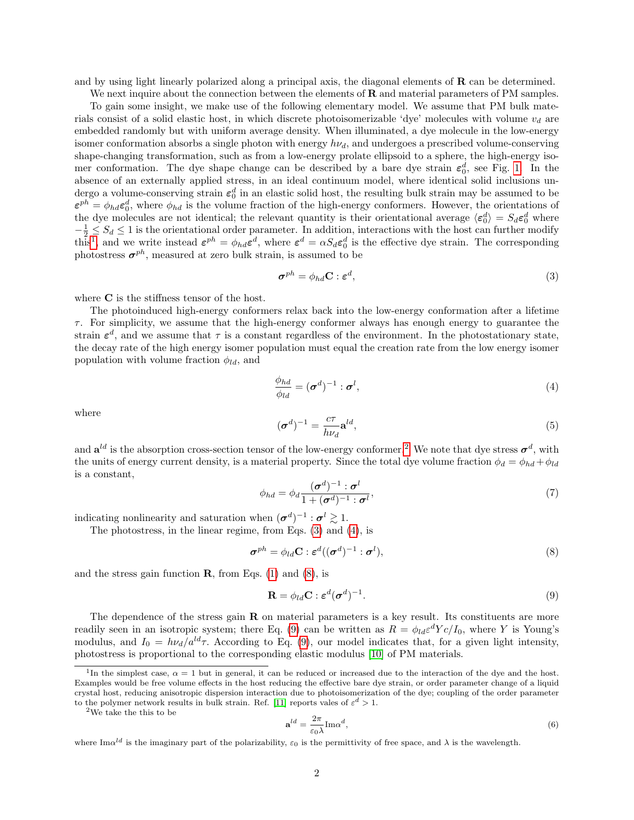and by using light linearly polarized along a principal axis, the diagonal elements of  $\bf{R}$  can be determined.

We next inquire about the connection between the elements of  $\bf{R}$  and material parameters of PM samples. To gain some insight, we make use of the following elementary model. We assume that PM bulk materials consist of a solid elastic host, in which discrete photoisomerizable 'dye' molecules with volume  $v_d$  are embedded randomly but with uniform average density. When illuminated, a dye molecule in the low-energy isomer conformation absorbs a single photon with energy  $h\nu_d$ , and undergoes a prescribed volume-conserving shape-changing transformation, such as from a low-energy prolate ellipsoid to a sphere, the high-energy isomer conformation. The dye shape change can be described by a bare dye strain  $\varepsilon_0^d$ , see Fig. [1.](#page-2-0) In the absence of an externally applied stress, in an ideal continuum model, where identical solid inclusions undergo a volume-conserving strain  $\varepsilon_0^d$  in an elastic solid host, the resulting bulk strain may be assumed to be  $\varepsilon^{ph} = \phi_{hd} \varepsilon_0^d$ , where  $\phi_{hd}$  is the volume fraction of the high-energy conformers. However, the orientations of the dye molecules are not identical; the relevant quantity is their orientational average  $\langle \epsilon_0^d \rangle = S_d \epsilon_0^d$  where  $-\frac{1}{2} \leq S_d \leq 1$  is the orientational order parameter. In addition, interactions with the host can further modify this<sup>[1](#page-1-0)</sup>, and we write instead  $\varepsilon^{ph} = \phi_{hd} \varepsilon^d$ , where  $\varepsilon^d = \alpha S_d \varepsilon_0^d$  is the effective dye strain. The corresponding photostress  $\boldsymbol{\sigma}^{ph}$ , measured at zero bulk strain, is assumed to be

<span id="page-1-2"></span>
$$
\boldsymbol{\sigma}^{ph} = \phi_{hd} \mathbf{C} : \boldsymbol{\varepsilon}^d,\tag{3}
$$

where **C** is the stiffness tensor of the host.

The photoinduced high-energy conformers relax back into the low-energy conformation after a lifetime  $\tau$ . For simplicity, we assume that the high-energy conformer always has enough energy to guarantee the strain  $\varepsilon^d$ , and we assume that  $\tau$  is a constant regardless of the environment. In the photostationary state, the decay rate of the high energy isomer population must equal the creation rate from the low energy isomer population with volume fraction  $\phi_{ld}$ , and

<span id="page-1-3"></span>
$$
\frac{\phi_{hd}}{\phi_{ld}} = (\boldsymbol{\sigma}^d)^{-1} : \boldsymbol{\sigma}^l,\tag{4}
$$

where

$$
(\boldsymbol{\sigma}^d)^{-1} = \frac{c\tau}{h\nu_d} \mathbf{a}^{ld},\tag{5}
$$

and  $a^{ld}$  is the absorption cross-section tensor of the low-energy conformer.<sup>[2](#page-1-1)</sup> We note that dye stress  $\sigma^d$ , with the units of energy current density, is a material property. Since the total dye volume fraction  $\phi_d = \phi_{hd} + \phi_{ld}$ is a constant,

<span id="page-1-6"></span>
$$
\phi_{hd} = \phi_d \frac{(\sigma^d)^{-1} : \sigma^l}{1 + (\sigma^d)^{-1} : \sigma^l},\tag{7}
$$

indicating nonlinearity and saturation when  $({\boldsymbol{\sigma}}^d)^{-1} : {\boldsymbol{\sigma}}^l \geq 1$ .

The photostress, in the linear regime, from Eqs. [\(3\)](#page-1-2) and [\(4\)](#page-1-3), is

<span id="page-1-4"></span>
$$
\boldsymbol{\sigma}^{ph} = \phi_{ld} \mathbf{C} : \boldsymbol{\varepsilon}^d ((\boldsymbol{\sigma}^d)^{-1} : \boldsymbol{\sigma}^l), \tag{8}
$$

and the stress gain function  $\bf{R}$ , from Eqs. [\(1\)](#page-0-0) and [\(8\)](#page-1-4), is

<span id="page-1-5"></span>
$$
\mathbf{R} = \phi_{ld} \mathbf{C} : \boldsymbol{\varepsilon}^d (\boldsymbol{\sigma}^d)^{-1}.
$$
 (9)

The dependence of the stress gain  $\bf{R}$  on material parameters is a key result. Its constituents are more readily seen in an isotropic system; there Eq. [\(9\)](#page-1-5) can be written as  $R = \phi_{ld} \varepsilon^d Y c / I_0$ , where Y is Young's modulus, and  $I_0 = h\nu_d/a^{ld}\tau$ . According to Eq. [\(9\)](#page-1-5), our model indicates that, for a given light intensity, photostress is proportional to the corresponding elastic modulus [\[10\]](#page-5-9) of PM materials.

<span id="page-1-1"></span><sup>2</sup>We take the this to be

$$
\mathbf{a}^{ld} = \frac{2\pi}{\varepsilon_0 \lambda} \text{Im}\alpha^d,\tag{6}
$$

<span id="page-1-0"></span><sup>&</sup>lt;sup>1</sup>In the simplest case,  $\alpha = 1$  but in general, it can be reduced or increased due to the interaction of the dye and the host. Examples would be free volume effects in the host reducing the effective bare dye strain, or order parameter change of a liquid crystal host, reducing anisotropic dispersion interaction due to photoisomerization of the dye; coupling of the order parameter to the polymer network results in bulk strain. Ref. [\[11\]](#page-5-10) reports vales of  $\varepsilon^d > 1$ .

where  $\text{Im}\alpha^{ld}$  is the imaginary part of the polarizability,  $\varepsilon_0$  is the permittivity of free space, and  $\lambda$  is the wavelength.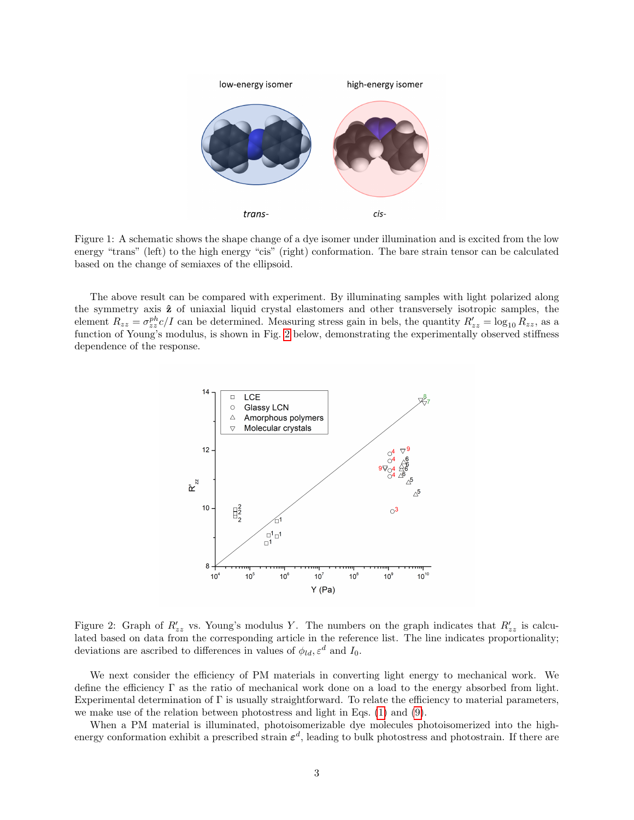

<span id="page-2-0"></span>Figure 1: A schematic shows the shape change of a dye isomer under illumination and is excited from the low energy "trans" (left) to the high energy "cis" (right) conformation. The bare strain tensor can be calculated based on the change of semiaxes of the ellipsoid.

The above result can be compared with experiment. By illuminating samples with light polarized along the symmetry axis  $\hat{z}$  of uniaxial liquid crystal elastomers and other transversely isotropic samples, the element  $R_{zz} = \sigma_{zz}^{ph} c/I$  can be determined. Measuring stress gain in bels, the quantity  $R'_{zz} = \log_{10} R_{zz}$ , as a function of Young's modulus, is shown in Fig. [2](#page-2-1) below, demonstrating the experimentally observed stiffness dependence of the response.



<span id="page-2-1"></span>Figure 2: Graph of  $R'_{zz}$  vs. Young's modulus Y. The numbers on the graph indicates that  $R'_{zz}$  is calculated based on data from the corresponding article in the reference list. The line indicates proportionality; deviations are ascribed to differences in values of  $\phi_{ld}, \varepsilon^d$  and  $I_0$ .

We next consider the efficiency of PM materials in converting light energy to mechanical work. We define the efficiency Γ as the ratio of mechanical work done on a load to the energy absorbed from light. Experimental determination of  $\Gamma$  is usually straightforward. To relate the efficiency to material parameters, we make use of the relation between photostress and light in Eqs. [\(1\)](#page-0-0) and [\(9\)](#page-1-5).

When a PM material is illuminated, photoisomerizable dye molecules photoisomerized into the highenergy conformation exhibit a prescribed strain  $\varepsilon^d$ , leading to bulk photostress and photostrain. If there are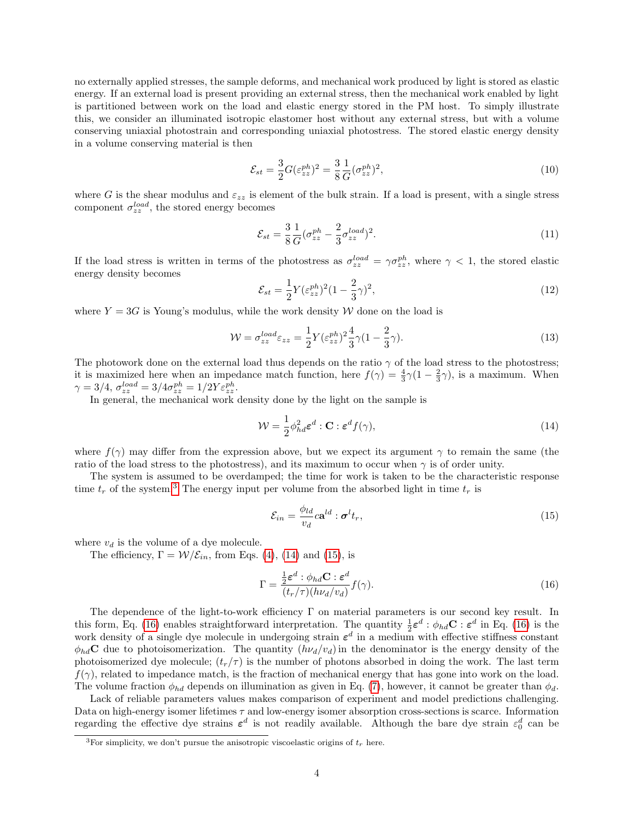no externally applied stresses, the sample deforms, and mechanical work produced by light is stored as elastic energy. If an external load is present providing an external stress, then the mechanical work enabled by light is partitioned between work on the load and elastic energy stored in the PM host. To simply illustrate this, we consider an illuminated isotropic elastomer host without any external stress, but with a volume conserving uniaxial photostrain and corresponding uniaxial photostress. The stored elastic energy density in a volume conserving material is then

$$
\mathcal{E}_{st} = \frac{3}{2} G(\varepsilon_{zz}^{ph})^2 = \frac{3}{8} \frac{1}{G} (\sigma_{zz}^{ph})^2,
$$
\n(10)

where G is the shear modulus and  $\varepsilon_{zz}$  is element of the bulk strain. If a load is present, with a single stress component  $\sigma_{zz}^{load}$ , the stored energy becomes

$$
\mathcal{E}_{st} = \frac{3}{8} \frac{1}{G} (\sigma_{zz}^{ph} - \frac{2}{3} \sigma_{zz}^{load})^2.
$$
\n
$$
(11)
$$

If the load stress is written in terms of the photostress as  $\sigma_{zz}^{load} = \gamma \sigma_{zz}^{ph}$ , where  $\gamma < 1$ , the stored elastic energy density becomes

$$
\mathcal{E}_{st} = \frac{1}{2} Y (\varepsilon_{zz}^{ph})^2 (1 - \frac{2}{3} \gamma)^2,\tag{12}
$$

where  $Y = 3G$  is Young's modulus, while the work density W done on the load is

$$
\mathcal{W} = \sigma_{zz}^{load} \varepsilon_{zz} = \frac{1}{2} Y (\varepsilon_{zz}^{ph})^2 \frac{4}{3} \gamma (1 - \frac{2}{3} \gamma). \tag{13}
$$

The photowork done on the external load thus depends on the ratio  $\gamma$  of the load stress to the photostress; it is maximized here when an impedance match function, here  $f(\gamma) = \frac{4}{3}\gamma(1-\frac{2}{3}\gamma)$ , is a maximum. When  $\gamma=3/4,\,\sigma_{zz}^{load}=3/4\sigma_{zz}^{ph}=1/2Y\varepsilon_{zz}^{ph}.$ 

In general, the mechanical work density done by the light on the sample is

<span id="page-3-1"></span>
$$
\mathcal{W} = \frac{1}{2} \phi_{hd}^2 \varepsilon^d : \mathbf{C} : \varepsilon^d f(\gamma), \tag{14}
$$

where  $f(\gamma)$  may differ from the expression above, but we expect its argument  $\gamma$  to remain the same (the ratio of the load stress to the photostress), and its maximum to occur when  $\gamma$  is of order unity.

The system is assumed to be overdamped; the time for work is taken to be the characteristic response time  $t_r$  of the system.<sup>[3](#page-3-0)</sup> The energy input per volume from the absorbed light in time  $t_r$  is

<span id="page-3-2"></span>
$$
\mathcal{E}_{in} = \frac{\phi_{ld}}{v_d} c \mathbf{a}^{ld} : \boldsymbol{\sigma}^l t_r,
$$
\n(15)

where  $v_d$  is the volume of a dye molecule.

The efficiency,  $\Gamma = \mathcal{W}/\mathcal{E}_{in}$ , from Eqs. [\(4\)](#page-1-3), [\(14\)](#page-3-1) and [\(15\)](#page-3-2), is

<span id="page-3-3"></span>
$$
\Gamma = \frac{\frac{1}{2}\varepsilon^d : \phi_{hd} \mathbf{C} : \varepsilon^d}{(t_r/\tau)(h\nu_d/v_d)} f(\gamma).
$$
\n(16)

The dependence of the light-to-work efficiency Γ on material parameters is our second key result. In this form, Eq. [\(16\)](#page-3-3) enables straightforward interpretation. The quantity  $\frac{1}{2} \epsilon^d : \phi_{hd} \mathbf{C} : \epsilon^d$  in Eq. (16) is the work density of a single dye molecule in undergoing strain  $\varepsilon^d$  in a medium with effective stiffness constant  $\phi_{hd}$ C due to photoisomerization. The quantity  $(h\nu_d/v_d)$  in the denominator is the energy density of the photoisomerized dye molecule;  $(t_r/\tau)$  is the number of photons absorbed in doing the work. The last term  $f(\gamma)$ , related to impedance match, is the fraction of mechanical energy that has gone into work on the load. The volume fraction  $\phi_{hd}$  depends on illumination as given in Eq. [\(7\)](#page-1-6), however, it cannot be greater than  $\phi_{d}$ .

Lack of reliable parameters values makes comparison of experiment and model predictions challenging. Data on high-energy isomer lifetimes  $\tau$  and low-energy isomer absorption cross-sections is scarce. Information regarding the effective dye strains  $\varepsilon^d$  is not readily available. Although the bare dye strain  $\varepsilon_0^d$  can be

<span id="page-3-0"></span><sup>&</sup>lt;sup>3</sup>For simplicity, we don't pursue the anisotropic viscoelastic origins of  $t_r$  here.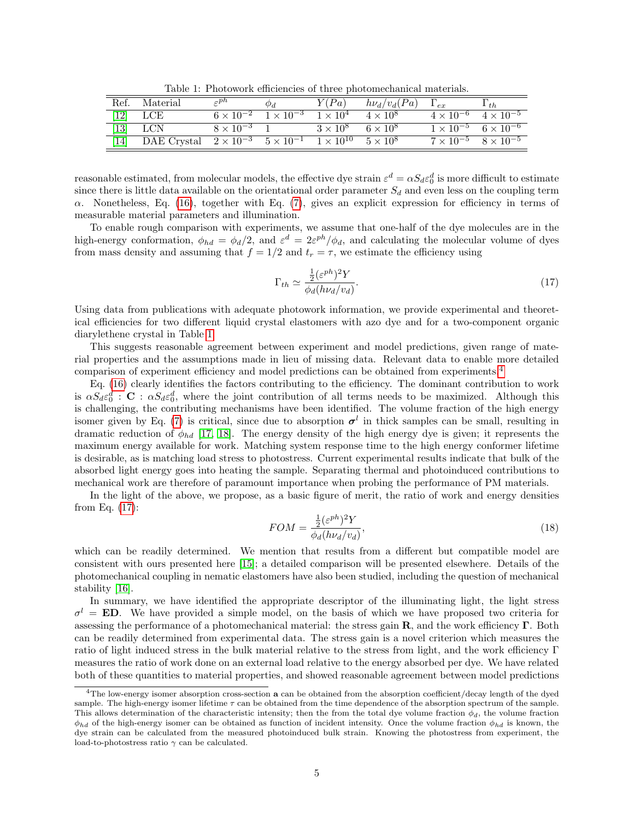<span id="page-4-0"></span>Table 1: Photowork efficiencies of three photomechanical materials.

|                              | Ref. Material | $\epsilon$ <sup>ph</sup>                                                   | Φd                                    | Y(Pa)                           | $h\nu_d/v_d(Pa)$ | $\Gamma_{ex}$               | $1_{th}$                                         |
|------------------------------|---------------|----------------------------------------------------------------------------|---------------------------------------|---------------------------------|------------------|-----------------------------|--------------------------------------------------|
| $\left\lceil 12\right\rceil$ | LCE           |                                                                            | $6 \times 10^{-2}$ $1 \times 10^{-3}$ | $1 \times 10^4$                 | $4 \times 10^8$  | $\overline{4\times10^{-6}}$ | $4 \times 10^{-5}$                               |
| 13                           | <b>LCN</b>    | $8 \times 10^{-3}$ 1                                                       |                                       | $3 \times 10^8$ 6 $\times 10^8$ |                  |                             | $1 \times 10^{-5}$ 6 $\times \overline{10^{-6}}$ |
| 14                           | DAE Crystal   | $2 \times 10^{-3}$ $5 \times 10^{-1}$ $1 \times 10^{10}$ $5 \times 10^{8}$ |                                       |                                 |                  |                             | $7 \times 10^{-5}$ $8 \times 10^{-5}$            |

reasonable estimated, from molecular models, the effective dye strain  $\varepsilon^d = \alpha S_d \varepsilon_0^d$  is more difficult to estimate since there is little data available on the orientational order parameter  $S_d$  and even less on the coupling term  $\alpha$ . Nonetheless, Eq. [\(16\)](#page-3-3), together with Eq. [\(7\)](#page-1-6), gives an explicit expression for efficiency in terms of measurable material parameters and illumination.

To enable rough comparison with experiments, we assume that one-half of the dye molecules are in the high-energy conformation,  $\phi_{hd} = \phi_d/2$ , and  $\varepsilon^d = 2\varepsilon^{ph}/\phi_d$ , and calculating the molecular volume of dyes from mass density and assuming that  $f = 1/2$  and  $t_r = \tau$ , we estimate the efficiency using

<span id="page-4-2"></span>
$$
\Gamma_{th} \simeq \frac{\frac{1}{2} (\varepsilon^{ph})^2 Y}{\phi_d (h\nu_d/v_d)}.\tag{17}
$$

Using data from publications with adequate photowork information, we provide experimental and theoretical efficiencies for two different liquid crystal elastomers with azo dye and for a two-component organic diarylethene crystal in Table [1.](#page-4-0)

This suggests reasonable agreement between experiment and model predictions, given range of material properties and the assumptions made in lieu of missing data. Relevant data to enable more detailed comparison of experiment efficiency and model predictions can be obtained from experiments.[4](#page-4-1)

Eq. [\(16\)](#page-3-3) clearly identifies the factors contributing to the efficiency. The dominant contribution to work is  $\alpha S_d \varepsilon_0^d$ :  $\mathbf{C}$ :  $\alpha S_d \varepsilon_0^d$ , where the joint contribution of all terms needs to be maximized. Although this is challenging, the contributing mechanisms have been identified. The volume fraction of the high energy isomer given by Eq. [\(7\)](#page-1-6) is critical, since due to absorption  $\sigma^{l}$  in thick samples can be small, resulting in dramatic reduction of  $\phi_{hd}$  [\[17,](#page-6-2) [18\]](#page-6-3). The energy density of the high energy dye is given; it represents the maximum energy available for work. Matching system response time to the high energy conformer lifetime is desirable, as is matching load stress to photostress. Current experimental results indicate that bulk of the absorbed light energy goes into heating the sample. Separating thermal and photoinduced contributions to mechanical work are therefore of paramount importance when probing the performance of PM materials.

In the light of the above, we propose, as a basic figure of merit, the ratio of work and energy densities from Eq. [\(17\)](#page-4-2):

$$
FOM = \frac{\frac{1}{2}(\varepsilon^{ph})^2 Y}{\phi_d(h\nu_d/v_d)},\tag{18}
$$

which can be readily determined. We mention that results from a different but compatible model are consistent with ours presented here [\[15\]](#page-6-4); a detailed comparison will be presented elsewhere. Details of the photomechanical coupling in nematic elastomers have also been studied, including the question of mechanical stability [\[16\]](#page-6-5).

In summary, we have identified the appropriate descriptor of the illuminating light, the light stress  $\sigma^l = \mathbf{ED}$ . We have provided a simple model, on the basis of which we have proposed two criteria for assessing the performance of a photomechanical material: the stress gain  $\mathbf{R}$ , and the work efficiency  $\mathbf{\Gamma}$ . Both can be readily determined from experimental data. The stress gain is a novel criterion which measures the ratio of light induced stress in the bulk material relative to the stress from light, and the work efficiency Γ measures the ratio of work done on an external load relative to the energy absorbed per dye. We have related both of these quantities to material properties, and showed reasonable agreement between model predictions

<span id="page-4-1"></span><sup>&</sup>lt;sup>4</sup>The low-energy isomer absorption cross-section a can be obtained from the absorption coefficient/decay length of the dyed sample. The high-energy isomer lifetime  $\tau$  can be obtained from the time dependence of the absorption spectrum of the sample. This allows determination of the characteristic intensity; then the from the total dye volume fraction  $\phi_d$ , the volume fraction  $\phi_{hd}$  of the high-energy isomer can be obtained as function of incident intensity. Once the volume fraction  $\phi_{hd}$  is known, the dye strain can be calculated from the measured photoinduced bulk strain. Knowing the photostress from experiment, the load-to-photostress ratio  $\gamma$  can be calculated.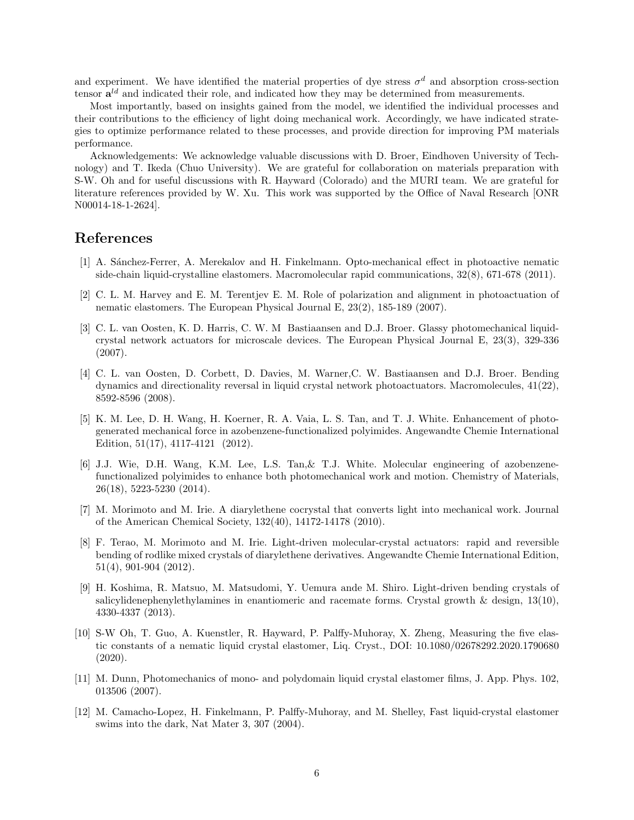and experiment. We have identified the material properties of dye stress  $\sigma^d$  and absorption cross-section tensor  $\mathbf{a}^{ld}$  and indicated their role, and indicated how they may be determined from measurements.

Most importantly, based on insights gained from the model, we identified the individual processes and their contributions to the efficiency of light doing mechanical work. Accordingly, we have indicated strategies to optimize performance related to these processes, and provide direction for improving PM materials performance.

Acknowledgements: We acknowledge valuable discussions with D. Broer, Eindhoven University of Technology) and T. Ikeda (Chuo University). We are grateful for collaboration on materials preparation with S-W. Oh and for useful discussions with R. Hayward (Colorado) and the MURI team. We are grateful for literature references provided by W. Xu. This work was supported by the Office of Naval Research [ONR N00014-18-1-2624].

## References

- <span id="page-5-0"></span>[1] A. S´anchez-Ferrer, A. Merekalov and H. Finkelmann. Opto-mechanical effect in photoactive nematic side-chain liquid-crystalline elastomers. Macromolecular rapid communications, 32(8), 671-678 (2011).
- <span id="page-5-1"></span>[2] C. L. M. Harvey and E. M. Terentjev E. M. Role of polarization and alignment in photoactuation of nematic elastomers. The European Physical Journal E, 23(2), 185-189 (2007).
- <span id="page-5-2"></span>[3] C. L. van Oosten, K. D. Harris, C. W. M Bastiaansen and D.J. Broer. Glassy photomechanical liquidcrystal network actuators for microscale devices. The European Physical Journal E, 23(3), 329-336 (2007).
- <span id="page-5-3"></span>[4] C. L. van Oosten, D. Corbett, D. Davies, M. Warner,C. W. Bastiaansen and D.J. Broer. Bending dynamics and directionality reversal in liquid crystal network photoactuators. Macromolecules, 41(22), 8592-8596 (2008).
- <span id="page-5-4"></span>[5] K. M. Lee, D. H. Wang, H. Koerner, R. A. Vaia, L. S. Tan, and T. J. White. Enhancement of photogenerated mechanical force in azobenzene-functionalized polyimides. Angewandte Chemie International Edition, 51(17), 4117-4121 (2012).
- <span id="page-5-5"></span>[6] J.J. Wie, D.H. Wang, K.M. Lee, L.S. Tan,& T.J. White. Molecular engineering of azobenzenefunctionalized polyimides to enhance both photomechanical work and motion. Chemistry of Materials, 26(18), 5223-5230 (2014).
- <span id="page-5-6"></span>[7] M. Morimoto and M. Irie. A diarylethene cocrystal that converts light into mechanical work. Journal of the American Chemical Society, 132(40), 14172-14178 (2010).
- <span id="page-5-7"></span>[8] F. Terao, M. Morimoto and M. Irie. Light-driven molecular-crystal actuators: rapid and reversible bending of rodlike mixed crystals of diarylethene derivatives. Angewandte Chemie International Edition, 51(4), 901-904 (2012).
- <span id="page-5-8"></span>[9] H. Koshima, R. Matsuo, M. Matsudomi, Y. Uemura ande M. Shiro. Light-driven bending crystals of salicylidenephenylethylamines in enantiomeric and racemate forms. Crystal growth  $\&$  design, 13(10), 4330-4337 (2013).
- <span id="page-5-9"></span>[10] S-W Oh, T. Guo, A. Kuenstler, R. Hayward, P. Palffy-Muhoray, X. Zheng, Measuring the five elastic constants of a nematic liquid crystal elastomer, Liq. Cryst., DOI: 10.1080/02678292.2020.1790680 (2020).
- <span id="page-5-10"></span>[11] M. Dunn, Photomechanics of mono- and polydomain liquid crystal elastomer films, J. App. Phys. 102, 013506 (2007).
- <span id="page-5-11"></span>[12] M. Camacho-Lopez, H. Finkelmann, P. Palffy-Muhoray, and M. Shelley, Fast liquid-crystal elastomer swims into the dark, Nat Mater 3, 307 (2004).